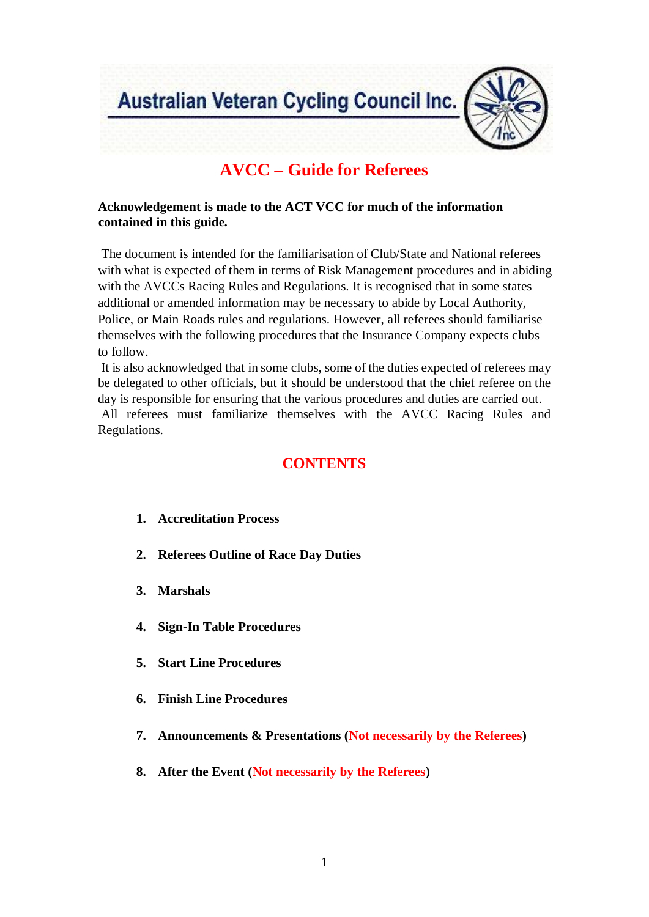Australian Veteran Cycling Council Inc.



# **AVCC – Guide for Referees**

# **Acknowledgement is made to the ACT VCC for much of the information contained in this guide.**

The document is intended for the familiarisation of Club/State and National referees with what is expected of them in terms of Risk Management procedures and in abiding with the AVCCs Racing Rules and Regulations. It is recognised that in some states additional or amended information may be necessary to abide by Local Authority, Police, or Main Roads rules and regulations. However, all referees should familiarise themselves with the following procedures that the Insurance Company expects clubs to follow.

It is also acknowledged that in some clubs, some of the duties expected of referees may be delegated to other officials, but it should be understood that the chief referee on the day is responsible for ensuring that the various procedures and duties are carried out. All referees must familiarize themselves with the AVCC Racing Rules and Regulations.

# **CONTENTS**

- **1. Accreditation Process**
- **2. Referees Outline of Race Day Duties**
- **3. Marshals**
- **4. Sign-In Table Procedures**
- **5. Start Line Procedures**
- **6. Finish Line Procedures**
- **7. Announcements & Presentations (Not necessarily by the Referees)**
- **8. After the Event (Not necessarily by the Referees)**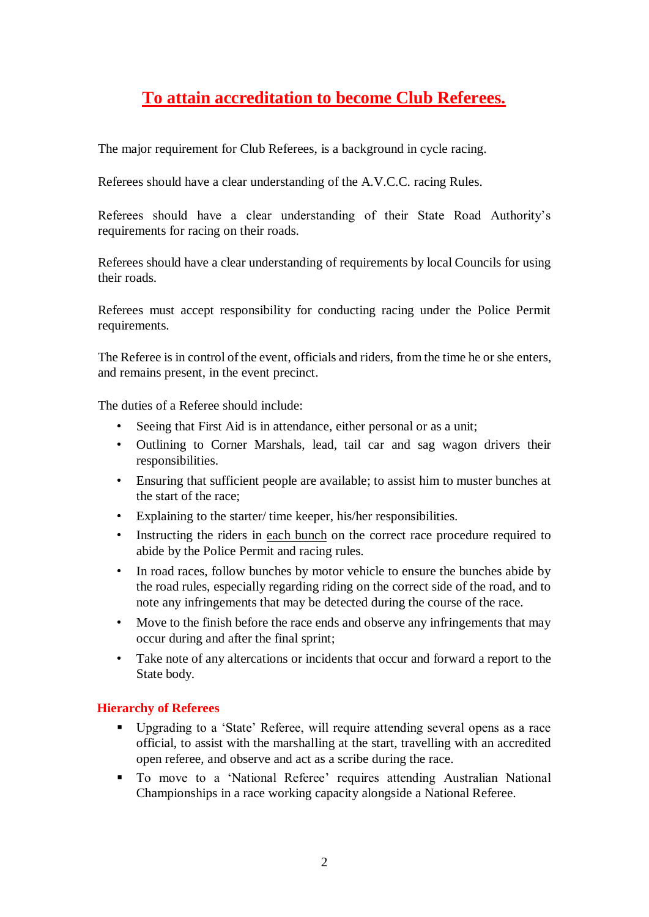# **To attain accreditation to become Club Referees.**

The major requirement for Club Referees, is a background in cycle racing.

Referees should have a clear understanding of the A.V.C.C. racing Rules.

Referees should have a clear understanding of their State Road Authority's requirements for racing on their roads.

Referees should have a clear understanding of requirements by local Councils for using their roads.

Referees must accept responsibility for conducting racing under the Police Permit requirements.

The Referee is in control of the event, officials and riders, from the time he or she enters, and remains present, in the event precinct.

The duties of a Referee should include:

- Seeing that First Aid is in attendance, either personal or as a unit;
- Outlining to Corner Marshals, lead, tail car and sag wagon drivers their responsibilities.
- Ensuring that sufficient people are available; to assist him to muster bunches at the start of the race;
- Explaining to the starter/ time keeper, his/her responsibilities.
- Instructing the riders in each bunch on the correct race procedure required to abide by the Police Permit and racing rules.
- In road races, follow bunches by motor vehicle to ensure the bunches abide by the road rules, especially regarding riding on the correct side of the road, and to note any infringements that may be detected during the course of the race.
- Move to the finish before the race ends and observe any infringements that may occur during and after the final sprint;
- Take note of any altercations or incidents that occur and forward a report to the State body.

#### **Hierarchy of Referees**

- Upgrading to a 'State' Referee, will require attending several opens as a race official, to assist with the marshalling at the start, travelling with an accredited open referee, and observe and act as a scribe during the race.
- To move to a 'National Referee' requires attending Australian National Championships in a race working capacity alongside a National Referee.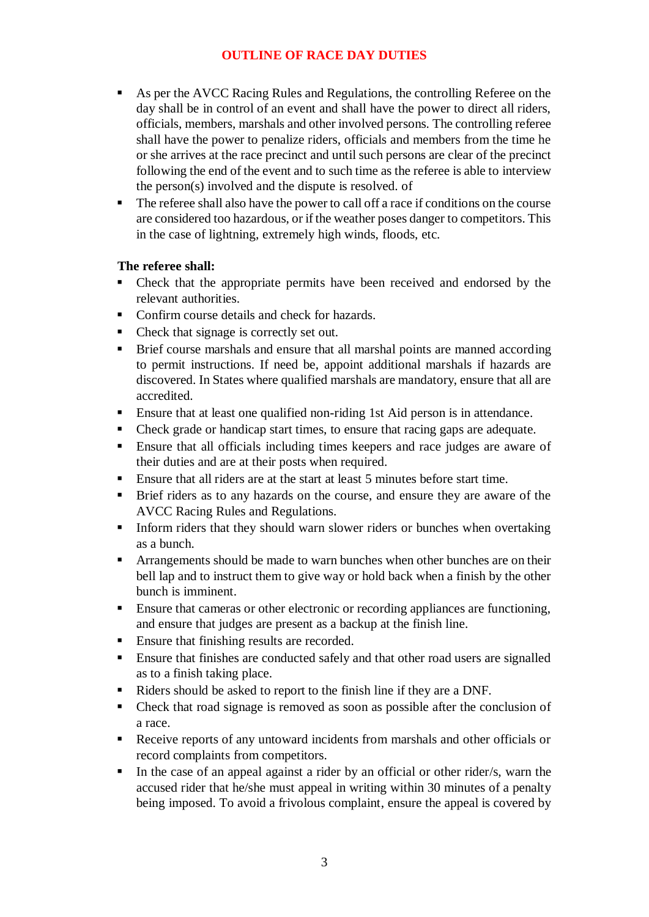# **OUTLINE OF RACE DAY DUTIES**

- As per the AVCC Racing Rules and Regulations, the controlling Referee on the day shall be in control of an event and shall have the power to direct all riders, officials, members, marshals and other involved persons. The controlling referee shall have the power to penalize riders, officials and members from the time he or she arrives at the race precinct and until such persons are clear of the precinct following the end of the event and to such time as the referee is able to interview the person(s) involved and the dispute is resolved. of
- The referee shall also have the power to call off a race if conditions on the course are considered too hazardous, or if the weather poses danger to competitors. This in the case of lightning, extremely high winds, floods, etc.

# **The referee shall:**

- Check that the appropriate permits have been received and endorsed by the relevant authorities.
- Confirm course details and check for hazards.
- Check that signage is correctly set out.
- **EXECUTE:** Brief course marshals and ensure that all marshal points are manned according to permit instructions. If need be, appoint additional marshals if hazards are discovered. In States where qualified marshals are mandatory, ensure that all are accredited.
- Ensure that at least one qualified non-riding 1st Aid person is in attendance.
- Check grade or handicap start times, to ensure that racing gaps are adequate.
- Ensure that all officials including times keepers and race judges are aware of their duties and are at their posts when required.
- **Ensure that all riders are at the start at least 5 minutes before start time.**
- Brief riders as to any hazards on the course, and ensure they are aware of the AVCC Racing Rules and Regulations.
- **■** Inform riders that they should warn slower riders or bunches when overtaking as a bunch.
- **EXECUTE:** Arrangements should be made to warn bunches when other bunches are on their bell lap and to instruct them to give way or hold back when a finish by the other bunch is imminent.
- Ensure that cameras or other electronic or recording appliances are functioning, and ensure that judges are present as a backup at the finish line.
- Ensure that finishing results are recorded.
- **Ensure that finishes are conducted safely and that other road users are signalled** as to a finish taking place.
- Riders should be asked to report to the finish line if they are a DNF.
- Check that road signage is removed as soon as possible after the conclusion of a race.
- Receive reports of any untoward incidents from marshals and other officials or record complaints from competitors.
- In the case of an appeal against a rider by an official or other rider/s, warn the accused rider that he/she must appeal in writing within 30 minutes of a penalty being imposed. To avoid a frivolous complaint, ensure the appeal is covered by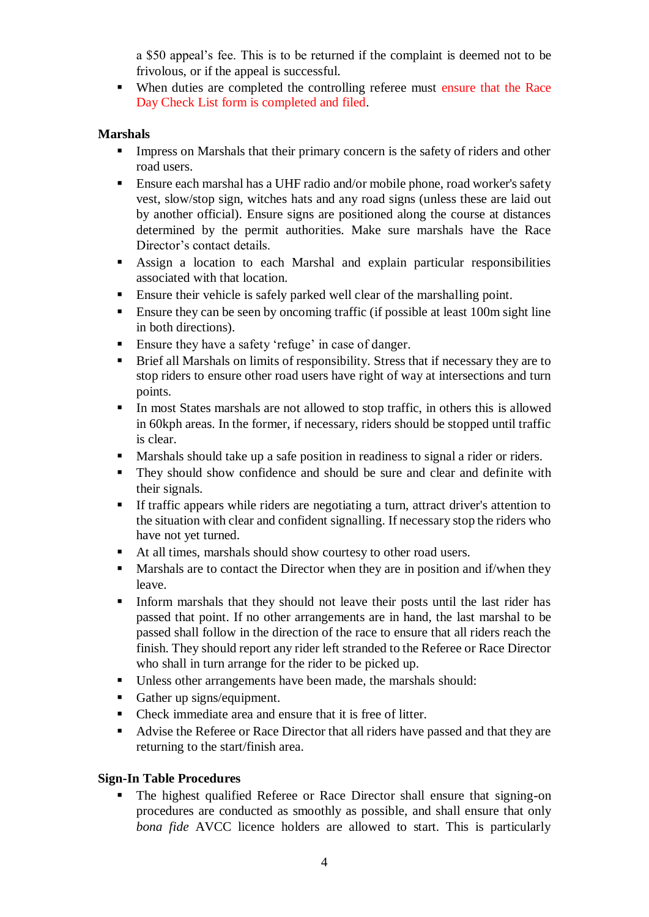a \$50 appeal's fee. This is to be returned if the complaint is deemed not to be frivolous, or if the appeal is successful.

■ When duties are completed the controlling referee must ensure that the Race Day Check List form is completed and filed.

#### **Marshals**

- **IMPRESS** on Marshals that their primary concern is the safety of riders and other road users.
- **Ensure each marshal has a UHF radio and/or mobile phone, road worker's safety** vest, slow/stop sign, witches hats and any road signs (unless these are laid out by another official). Ensure signs are positioned along the course at distances determined by the permit authorities. Make sure marshals have the Race Director's contact details.
- Assign a location to each Marshal and explain particular responsibilities associated with that location.
- **Ensure their vehicle is safely parked well clear of the marshalling point.**
- Ensure they can be seen by oncoming traffic (if possible at least 100m sight line in both directions).
- Ensure they have a safety 'refuge' in case of danger.
- Brief all Marshals on limits of responsibility. Stress that if necessary they are to stop riders to ensure other road users have right of way at intersections and turn points.
- In most States marshals are not allowed to stop traffic, in others this is allowed in 60kph areas. In the former, if necessary, riders should be stopped until traffic is clear.
- Marshals should take up a safe position in readiness to signal a rider or riders.
- **•** They should show confidence and should be sure and clear and definite with their signals.
- **If traffic appears while riders are negotiating a turn, attract driver's attention to** the situation with clear and confident signalling. If necessary stop the riders who have not yet turned.
- At all times, marshals should show courtesy to other road users.
- Marshals are to contact the Director when they are in position and if/when they leave.
- **Inform marshals that they should not leave their posts until the last rider has** passed that point. If no other arrangements are in hand, the last marshal to be passed shall follow in the direction of the race to ensure that all riders reach the finish. They should report any rider left stranded to the Referee or Race Director who shall in turn arrange for the rider to be picked up.
- Unless other arrangements have been made, the marshals should:
- Gather up signs/equipment.
- Check immediate area and ensure that it is free of litter.
- Advise the Referee or Race Director that all riders have passed and that they are returning to the start/finish area.

# **Sign-In Table Procedures**

The highest qualified Referee or Race Director shall ensure that signing-on procedures are conducted as smoothly as possible, and shall ensure that only *bona fide* AVCC licence holders are allowed to start. This is particularly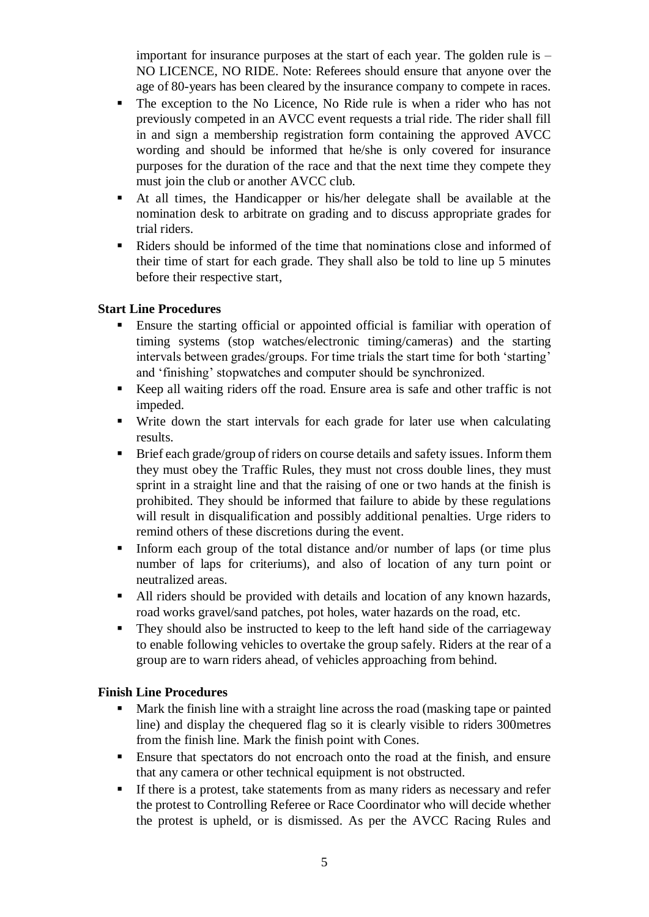important for insurance purposes at the start of each year. The golden rule is – NO LICENCE, NO RIDE. Note: Referees should ensure that anyone over the age of 80-years has been cleared by the insurance company to compete in races.

- The exception to the No Licence, No Ride rule is when a rider who has not previously competed in an AVCC event requests a trial ride. The rider shall fill in and sign a membership registration form containing the approved AVCC wording and should be informed that he/she is only covered for insurance purposes for the duration of the race and that the next time they compete they must join the club or another AVCC club.
- At all times, the Handicapper or his/her delegate shall be available at the nomination desk to arbitrate on grading and to discuss appropriate grades for trial riders.
- Riders should be informed of the time that nominations close and informed of their time of start for each grade. They shall also be told to line up 5 minutes before their respective start,

# **Start Line Procedures**

- Ensure the starting official or appointed official is familiar with operation of timing systems (stop watches/electronic timing/cameras) and the starting intervals between grades/groups. For time trials the start time for both 'starting' and 'finishing' stopwatches and computer should be synchronized.
- Keep all waiting riders off the road. Ensure area is safe and other traffic is not impeded.
- Write down the start intervals for each grade for later use when calculating results.
- Brief each grade/group of riders on course details and safety issues. Inform them they must obey the Traffic Rules, they must not cross double lines, they must sprint in a straight line and that the raising of one or two hands at the finish is prohibited. They should be informed that failure to abide by these regulations will result in disqualification and possibly additional penalties. Urge riders to remind others of these discretions during the event.
- **Inform each group of the total distance and/or number of laps (or time plus** number of laps for criteriums), and also of location of any turn point or neutralized areas.
- All riders should be provided with details and location of any known hazards, road works gravel/sand patches, pot holes, water hazards on the road, etc.
- They should also be instructed to keep to the left hand side of the carriageway to enable following vehicles to overtake the group safely. Riders at the rear of a group are to warn riders ahead, of vehicles approaching from behind.

#### **Finish Line Procedures**

- Mark the finish line with a straight line across the road (masking tape or painted line) and display the chequered flag so it is clearly visible to riders 300metres from the finish line. Mark the finish point with Cones.
- Ensure that spectators do not encroach onto the road at the finish, and ensure that any camera or other technical equipment is not obstructed.
- **If there is a protest, take statements from as many riders as necessary and refer** the protest to Controlling Referee or Race Coordinator who will decide whether the protest is upheld, or is dismissed. As per the AVCC Racing Rules and